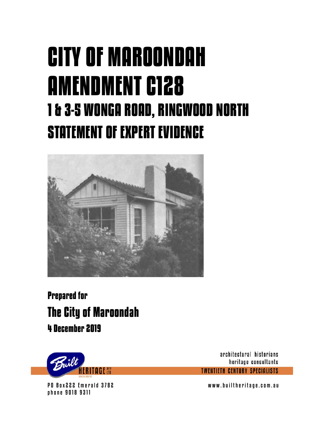# **CITY OF MAROONDAH AMENDMENT C128 1 & 3-5 WONGA ROAD, RINGWOOD NORTH STATEMENT OF EXPERT EVIDENCE**



# **Prepared for The City of Maroondah 4 December 2019**

**HERITOGE AN** 

PO Box 2 2 2 Emerald 378 2 www.builtheritage.com.au phone 9018 9311

architectural historians heritage consultants **TWENTIETH CENTURY SPECIALISTS** 

Ļ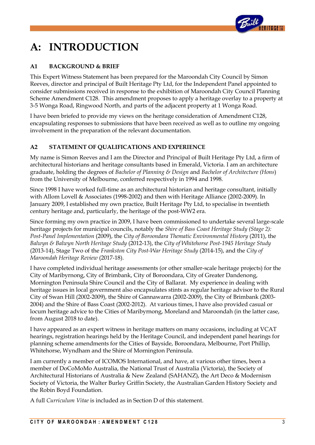

# **A: INTRODUCTION**

## **A1 BACKGROUND & BRIEF**

This Expert Witness Statement has been prepared for the Maroondah City Council by Simon Reeves, director and principal of Built Heritage Pty Ltd, for the Independent Panel appointed to consider submissions received in response to the exhibition of Maroondah City Council Planning Scheme Amendment C128. This amendment proposes to apply a heritage overlay to a property at 3-5 Wonga Road, Ringwood North, and parts of the adjacent property at 1 Wonga Road.

I have been briefed to provide my views on the heritage consideration of Amendment C128, encapsulating responses to submissions that have been received as well as to outline my ongoing involvement in the preparation of the relevant documentation.

### **A2 STATEMENT OF QUALIFICATIONS AND EXPERIENCE**

My name is Simon Reeves and I am the Director and Principal of Built Heritage Pty Ltd, a firm of architectural historians and heritage consultants based in Emerald, Victoria. I am an architecture graduate, holding the degrees of *Bachelor of Planning & Design* and *Bachelor of Architecture (Hons*) from the University of Melbourne, conferred respectively in 1994 and 1998.

Since 1998 I have worked full-time as an architectural historian and heritage consultant, initially with Allom Lovell & Associates (1998-2002) and then with Heritage Alliance (2002-2009). In January 2009, I established my own practice, Built Heritage Pty Ltd, to specialise in twentieth century heritage and, particularly, the heritage of the post-WW2 era.

Since forming my own practice in 2009, I have been commissioned to undertake several large-scale heritage projects for municipal councils, notably the *Shire of Bass Coast Heritage Study (Stage 2): Post-Panel Implementation* (2009), the *City of Boroondara Thematic Environmental History* (2011), the *Balwyn & Balwyn North Heritage Study* (2012-13), the *City of Whitehorse Post-1945 Heritage Study* (2013-14), Stage Two of the *Frankston City Post-War Heritage Study* (2014-15), and the *City of Maroondah Heritage Review* (2017-18).

I have completed individual heritage assessments (or other smaller-scale heritage projects) for the City of Maribyrnong, City of Brimbank, City of Boroondara, City of Greater Dandenong, Mornington Peninsula Shire Council and the City of Ballarat. My experience in dealing with heritage issues in local government also encapsulates stints as regular heritage advisor to the Rural City of Swan Hill (2002-2009), the Shire of Gannawarra (2002-2009), the City of Brimbank (2003- 2004) and the Shire of Bass Coast (2002-2012). At various times, I have also provided casual or locum heritage advice to the Cities of Maribyrnong, Moreland and Maroondah (in the latter case, from August 2018 to date).

I have appeared as an expert witness in heritage matters on many occasions, including at VCAT hearings, registration hearings held by the Heritage Council, and independent panel hearings for planning scheme amendments for the Cities of Bayside, Boroondara, Melbourne, Port Phillip, Whitehorse, Wyndham and the Shire of Mornington Peninsula.

I am currently a member of ICOMOS International, and have, at various other times, been a member of DoCoMoMo Australia, the National Trust of Australia (Victoria), the Society of Architectural Historians of Australia & New Zealand (SAHANZ), the Art Deco & Modernism Society of Victoria, the Walter Burley Griffin Society, the Australian Garden History Society and the Robin Boyd Foundation.

A full *Curriculum Vitae* is included as in Section D of this statement.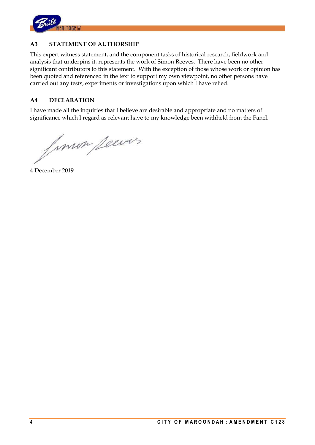

#### **A3 STATEMENT OF AUTHORSHIP**

This expert witness statement, and the component tasks of historical research, fieldwork and analysis that underpins it, represents the work of Simon Reeves. There have been no other significant contributors to this statement. With the exception of those whose work or opinion has been quoted and referenced in the text to support my own viewpoint, no other persons have carried out any tests, experiments or investigations upon which I have relied.

#### **A4 DECLARATION**

I have made all the inquiries that I believe are desirable and appropriate and no matters of significance which I regard as relevant have to my knowledge been withheld from the Panel.

finion peers

4 December 2019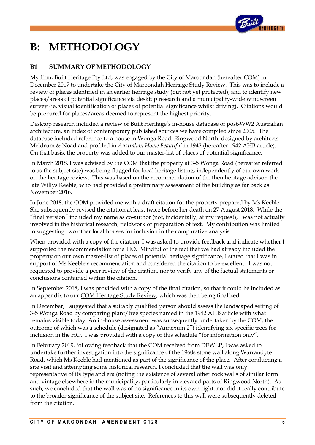

# **B: METHODOLOGY**

# **B1 SUMMARY OF METHODOLOGY**

My firm, Built Heritage Pty Ltd, was engaged by the City of Maroondah (hereafter COM) in December 2017 to undertake the City of Maroondah Heritage Study Review. This was to include a review of places identified in an earlier heritage study (but not yet protected), and to identify new places/areas of potential significance via desktop research and a municipality-wide windscreen survey (ie, visual identification of places of potential significance whilst driving). Citations would be prepared for places/areas deemed to represent the highest priority.

Desktop research included a review of Built Heritage's in-house database of post-WW2 Australian architecture, an index of contemporary published sources we have compiled since 2005. The database included reference to a house in Wonga Road, Ringwood North, designed by architects Meldrum & Noad and profiled in *Australian Home Beautiful* in 1942 (hereafter 1942 AHB article). On that basis, the property was added to our master-list of places of potential significance.

In March 2018, I was advised by the COM that the property at 3-5 Wonga Road (hereafter referred to as the subject site) was being flagged for local heritage listing, independently of our own work on the heritage review. This was based on the recommendation of the then heritage advisor, the late Willys Keeble, who had provided a preliminary assessment of the building as far back as November 2016.

In June 2018, the COM provided me with a draft citation for the property prepared by Ms Keeble. She subsequently revised the citation at least twice before her death on 27 August 2018. While the "final version" included my name as co-author (not, incidentally, at my request), I was not actually involved in the historical research, fieldwork or preparation of text. My contribution was limited to suggesting two other local houses for inclusion in the comparative analysis.

When provided with a copy of the citation, I was asked to provide feedback and indicate whether I supported the recommendation for a HO. Mindful of the fact that we had already included the property on our own master-list of places of potential heritage significance, I stated that I was in support of Ms Keeble's recommendation and considered the citation to be excellent. I was not requested to provide a peer review of the citation, nor to verify any of the factual statements or conclusions contained within the citation.

In September 2018, I was provided with a copy of the final citation, so that it could be included as an appendix to our COM Heritage Study Review, which was then being finalized.

In December, I suggested that a suitably qualified person should assess the landscaped setting of 3-5 Wonga Road by comparing plant/tree species named in the 1942 AHB article with what remains visible today. An in-house assessment was subsequently undertaken by the COM, the outcome of which was a schedule (designated as "Annexum 2") identifying six specific trees for inclusion in the HO. I was provided with a copy of this schedule "for information only".

In February 2019, following feedback that the COM received from DEWLP, I was asked to undertake further investigation into the significance of the 1960s stone wall along Warrandyte Road, which Ms Keeble had mentioned as part of the significance of the place. After conducting a site visit and attempting some historical research, I concluded that the wall was only representative of its type and era (noting the existence of several other rock walls of similar form and vintage elsewhere in the municipality, particularly in elevated parts of Ringwood North). As such, we concluded that the wall was of no significance in its own right, nor did it really contribute to the broader significance of the subject site. References to this wall were subsequently deleted from the citation.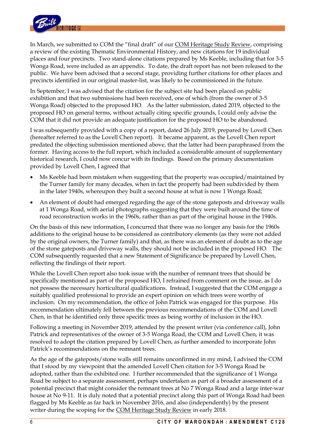

In March, we submitted to COM the "final draft" of our COM Heritage Study Review, comprising a review of the existing Thematic Environmental History, and new citations for 19 individual places and four precincts. Two stand-alone citations prepared by Ms Keeble, including that for 3-5 Wonga Road, were included as an appendix. To date, the draft report has not been released to the public. We have been advised that a second stage, providing further citations for other places and precincts identified in our original master-list, was likely to be commissioned in the future.

In September, I was advised that the citation for the subject site had been placed on public exhibition and that two submissions had been received, one of which (from the owner of 3-5 Wonga Road) objected to the proposed HO. As the latter submission, dated 2019, objected to the proposed HO on general terms, without actually citing specific grounds, I could only advise the COM that it did not provide an adequate justification for the proposed HO to be abandoned.

I was subsequently provided with a copy of a report, dated 26 July 2019, prepared by Lovell Chen (hereafter referred to as the Lovell Chen report). It became apparent, as the Lovell Chen report predated the objecting submission mentioned above, that the latter had been paraphrased from the former. Having access to the full report, which included a considerable amount of supplementary historical research, I could now concur with its findings. Based on the primary documentation provided by Lovell Chen, I agreed that

- Ms Keeble had been mistaken when suggesting that the property was occupied/maintained by the Turner family for many decades, when in fact the property had been subdivided by them in the later 1940s, whereupon they built a second house at what is now 1 Wonga Road;
- An element of doubt had emerged regarding the age of the stone gateposts and driveway walls at 1 Wonga Road, with aerial photographs suggesting that they were built around the time of road reconstruction works in the 1960s, rather than as part of the original house in the 1940s.

On the basis of this new information, I concurred that there was no longer any basis for the 1960s additions to the original house to be considered as contributory elements (as they were not added by the original owners, the Turner family) and that, as there was an element of doubt as to the age of the stone gateposts and driveway walls, they should not be included in the proposed HO. The COM subsequently requested that a new Statement of Significance be prepared by Lovell Chen, reflecting the findings of their report.

While the Lovell Chen report also took issue with the number of remnant trees that should be specifically mentioned as part of the proposed HO, I refrained from comment on the issue, as I do not possess the necessary horticultural qualifications. Instead, I suggested that the COM engage a suitably qualified professional to provide an expert opinion on which trees were worthy of inclusion. On my recommendation, the office of John Patrick was engaged for this purpose. His recommendation ultimately fell between the previous recommendations of the COM and Lovell Chen, in that he identified only three specific trees as being worthy of inclusion in the HO.

Following a meeting in November 2019, attended by the present writer (via conference call), John Patrick and representatives of the owner of 3-5 Wonga Road, the COM and Lovell Chen, it was resolved to adopt the citation prepared by Lovell Chen, as further amended to incorporate John Patrick's recommendations on the remnant trees.

As the age of the gateposts/stone walls still remains unconfirmed in my mind, I advised the COM that I stood by my viewpoint that the amended Lovell Chen citation for 3-5 Wonga Road be adopted, rather than the exhibited one. I further recommended that the significance of 1 Wonga Road be subject to a separate assessment, perhaps undertaken as part of a broader assessment of a potential precinct that might consider the remnant trees at No 7 Wonga Road and a large inter-war house at No 9-11. It is duly noted that a potential precinct along this part of Wonga Road had been flagged by Ms Keeble as far back in November 2016, and also (independently) by the present writer during the scoping for the COM Heritage Study Review in early 2018.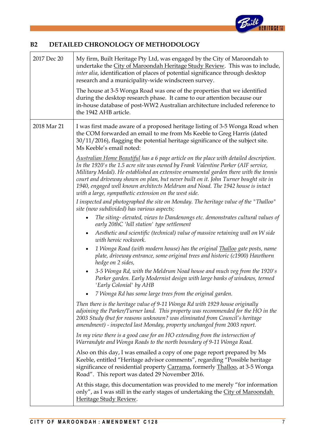

# **B2 DETAILED CHRONOLOGY OF METHODOLOGY**

| 2017 Dec 20 | My firm, Built Heritage Pty Ltd, was engaged by the City of Maroondah to<br>undertake the City of Maroondah Heritage Study Review. This was to include,<br>inter alia, identification of places of potential significance through desktop<br>research and a municipality-wide windscreen survey.<br>The house at 3-5 Wonga Road was one of the properties that we identified<br>during the desktop research phase. It came to our attention because our<br>in-house database of post-WW2 Australian architecture included reference to<br>the 1942 AHB article. |
|-------------|-----------------------------------------------------------------------------------------------------------------------------------------------------------------------------------------------------------------------------------------------------------------------------------------------------------------------------------------------------------------------------------------------------------------------------------------------------------------------------------------------------------------------------------------------------------------|
| 2018 Mar 21 | I was first made aware of a proposed heritage listing of 3-5 Wonga Road when<br>the COM forwarded an email to me from Ms Keeble to Greg Harris (dated<br>30/11/2016), flagging the potential heritage significance of the subject site.<br>Ms Keeble's email noted:                                                                                                                                                                                                                                                                                             |
|             | Australian Home Beautiful has a 6 page article on the place with detailed description.<br>In the 1920's the 1.5 acre site was owned by Frank Valentine Parker (AIF service,<br>Military Medal). He established an extensive ornamental garden there with the tennis<br>court and driveway shown on plan, but never built on it. John Turner bought site in<br>1940, engaged well known architects Meldrum and Noad. The 1942 house is intact<br>with a large, sympathetic extension on the west side.                                                           |
|             | I inspected and photographed the site on Monday. The heritage value of the "Thalloo"<br>site (now subdivided) has various aspects;                                                                                                                                                                                                                                                                                                                                                                                                                              |
|             | The siting-elevated, views to Dandenongs etc. demonstrates cultural values of<br>early 20thC 'hill station' type settlement                                                                                                                                                                                                                                                                                                                                                                                                                                     |
|             | Aesthetic and scientific (technical) value of massive retaining wall on W side<br>with heroic rockwork.                                                                                                                                                                                                                                                                                                                                                                                                                                                         |
|             | 1 Wonga Road (with modern house) has the original <i>Thalloo</i> gate posts, name<br>$\bullet$<br>plate, driveway entrance, some original trees and historic (c1900) Hawthorn<br>hedge on 2 sides,                                                                                                                                                                                                                                                                                                                                                              |
|             | 3-5 Wonga Rd, with the Meldrum Noad house and much veg from the 1920's<br>$\bullet$<br>Parker garden. Early Modernist design with large banks of windows, termed<br>'Early Colonial' by AHB                                                                                                                                                                                                                                                                                                                                                                     |
|             | 7 Wonga Rd has some large trees from the original garden.                                                                                                                                                                                                                                                                                                                                                                                                                                                                                                       |
|             | Then there is the heritage value of 9-11 Wonga Rd with 1929 house originally<br>adjoining the Parker/Turner land. This property was recommended for the HO in the<br>2003 Study (but for reasons unknown? was eliminated from Council's heritage<br>amendment) - inspected last Monday, property unchanged from 2003 report.                                                                                                                                                                                                                                    |
|             | In my view there is a good case for an HO extending from the intersection of<br>Warrandyte and Wonga Roads to the north boundary of 9-11 Wonga Road.                                                                                                                                                                                                                                                                                                                                                                                                            |
|             | Also on this day, I was emailed a copy of one page report prepared by Ms<br>Keeble, entitled "Heritage advisor comments", regarding "Possible heritage<br>significance of residential property Carrama, formerly Thalloo, at 3-5 Wonga<br>Road". This report was dated 29 November 2016.                                                                                                                                                                                                                                                                        |
|             | At this stage, this documentation was provided to me merely "for information<br>only", as I was still in the early stages of undertaking the City of Maroondah<br>Heritage Study Review.                                                                                                                                                                                                                                                                                                                                                                        |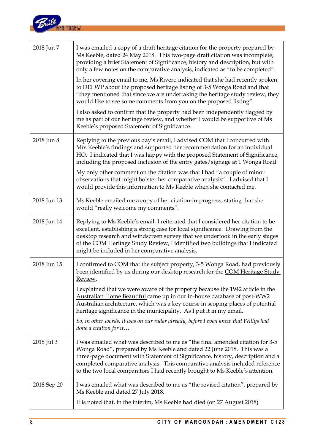

| 2018 Jun 7  | I was emailed a copy of a draft heritage citation for the property prepared by<br>Ms Keeble, dated 24 May 2018. This two-page draft citation was incomplete,<br>providing a brief Statement of Significance, history and description, but with<br>only a few notes on the comparative analysis, indicated as "to be completed".                                                                           |
|-------------|-----------------------------------------------------------------------------------------------------------------------------------------------------------------------------------------------------------------------------------------------------------------------------------------------------------------------------------------------------------------------------------------------------------|
|             | In her covering email to me, Ms Rivero indicated that she had recently spoken<br>to DELWP about the proposed heritage listing of 3-5 Wonga Road and that<br>"they mentioned that since we are undertaking the heritage study review, they<br>would like to see some comments from you on the proposed listing".                                                                                           |
|             | I also asked to confirm that the property had been independently flagged by<br>me as part of our heritage review, and whether I would be supportive of Ms<br>Keeble's proposed Statement of Significance.                                                                                                                                                                                                 |
| 2018 Jun 8  | Replying to the previous day's email, I advised COM that I concurred with<br>Mrs Keeble's findings and supported her recommendation for an individual<br>HO. I indicated that I was happy with the proposed Statement of Significance,<br>including the proposed inclusion of the entry gates/signage at 1 Wonga Road.                                                                                    |
|             | My only other comment on the citation was that I had "a couple of minor<br>observations that might bolster her comparative analysis". I advised that I<br>would provide this information to Ms Keeble when she contacted me.                                                                                                                                                                              |
| 2018 Jun 13 | Ms Keeble emailed me a copy of her citation-in-progress, stating that she<br>would "really welcome my comments".                                                                                                                                                                                                                                                                                          |
| 2018 Jun 14 | Replying to Ms Keeble's email, I reiterated that I considered her citation to be<br>excellent, establishing a strong case for local significance. Drawing from the<br>desktop research and windscreen survey that we undertook in the early stages<br>of the COM Heritage Study Review, I identified two buildings that I indicated<br>might be included in her comparative analysis.                     |
| 2018 Jun 15 | I confirmed to COM that the subject property, 3-5 Wonga Road, had previously<br>been identified by us during our desktop research for the COM Heritage Study<br>Review.                                                                                                                                                                                                                                   |
|             | I explained that we were aware of the property because the 1942 article in the<br>Australian Home Beautiful came up in our in-house database of post-WW2<br>Australian architecture, which was a key course in scoping places of potential<br>heritage significance in the municipality. As I put it in my email,                                                                                         |
|             | So, in other words, it was on our radar already, before I even knew that Willys had<br>done a citation for it                                                                                                                                                                                                                                                                                             |
| 2018 Jul 3  | I was emailed what was described to me as "the final amended citation for 3-5<br>Wonga Road", prepared by Ms Keeble and dated 22 June 2018. This was a<br>three-page document with Statement of Significance, history, description and a<br>completed comparative analysis. This comparative analysis included reference<br>to the two local comparators I had recently brought to Ms Keeble's attention. |
| 2018 Sep 20 | I was emailed what was described to me as "the revised citation", prepared by<br>Ms Keeble and dated 27 July 2018.                                                                                                                                                                                                                                                                                        |
|             | It is noted that, in the interim, Ms Keeble had died (on 27 August 2018)                                                                                                                                                                                                                                                                                                                                  |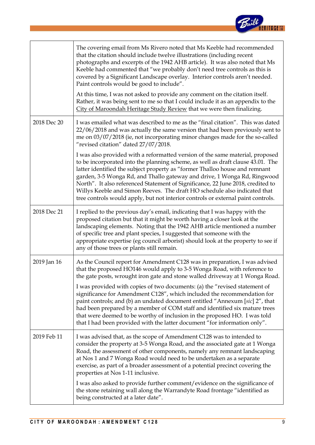

|             | The covering email from Ms Rivero noted that Ms Keeble had recommended<br>that the citation should include twelve illustrations (including recent<br>photographs and excerpts of the 1942 AHB article). It was also noted that Ms<br>Keeble had commented that "we probably don't need tree controls as this is<br>covered by a Significant Landscape overlay. Interior controls aren't needed.<br>Paint controls would be good to include".                                                                                                                                    |
|-------------|---------------------------------------------------------------------------------------------------------------------------------------------------------------------------------------------------------------------------------------------------------------------------------------------------------------------------------------------------------------------------------------------------------------------------------------------------------------------------------------------------------------------------------------------------------------------------------|
|             | At this time, I was not asked to provide any comment on the citation itself.<br>Rather, it was being sent to me so that I could include it as an appendix to the<br>City of Maroondah Heritage Study Review that we were then finalizing.                                                                                                                                                                                                                                                                                                                                       |
| 2018 Dec 20 | I was emailed what was described to me as the "final citation". This was dated<br>22/06/2018 and was actually the same version that had been previously sent to<br>me on 03/07/2018 (ie, not incorporating minor changes made for the so-called<br>"revised citation" dated 27/07/2018.                                                                                                                                                                                                                                                                                         |
|             | I was also provided with a reformatted version of the same material, proposed<br>to be incorporated into the planning scheme, as well as draft clause 43.01. The<br>latter identified the subject property as "former Thalloo house and remnant<br>garden, 3-5 Wonga Rd, and Thallo gateway and drive, 1 Wonga Rd, Ringwood<br>North". It also referenced Statement of Significance, 22 June 2018, credited to<br>Willys Keeble and Simon Reeves. The draft HO schedule also indicated that<br>tree controls would apply, but not interior controls or external paint controls. |
| 2018 Dec 21 | I replied to the previous day's email, indicating that I was happy with the<br>proposed citation but that it might be worth having a closer look at the<br>landscaping elements. Noting that the 1942 AHB article mentioned a number<br>of specific tree and plant species, I suggested that someone with the<br>appropriate expertise (eg council arborist) should look at the property to see if<br>any of those trees or plants still remain.                                                                                                                                |
| 2019 Jan 16 | As the Council report for Amendment C128 was in preparation, I was advised<br>that the proposed HO146 would apply to 3-5 Wonga Road, with reference to<br>the gate posts, wrought iron gate and stone walled driveway at 1 Wonga Road.                                                                                                                                                                                                                                                                                                                                          |
|             | I was provided with copies of two documents: (a) the "revised statement of<br>significance for Amendment C128", which included the recommendation for<br>paint controls; and (b) an undated document entitled "Annexum [sic] 2", that<br>had been prepared by a member of COM staff and identified six mature trees<br>that were deemed to be worthy of inclusion in the proposed HO. I was told<br>that I had been provided with the latter document "for information only".                                                                                                   |
| 2019 Feb 11 | I was advised that, as the scope of Amendment C128 was to intended to<br>consider the property at 3-5 Wonga Road, and the associated gate at 1 Wonga<br>Road, the assessment of other components, namely any remnant landscaping<br>at Nos 1 and 7 Wonga Road would need to be undertaken as a separate<br>exercise, as part of a broader assessment of a potential precinct covering the<br>properties at Nos 1-11 inclusive.                                                                                                                                                  |
|             | I was also asked to provide further comment/evidence on the significance of<br>the stone retaining wall along the Warrandyte Road frontage "identified as<br>being constructed at a later date".                                                                                                                                                                                                                                                                                                                                                                                |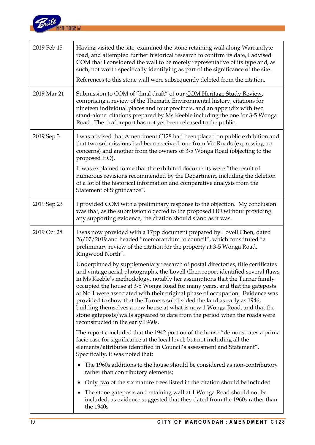

| 2019 Feb 15 | Having visited the site, examined the stone retaining wall along Warrandyte<br>road, and attempted further historical research to confirm its date, I advised<br>COM that I considered the wall to be merely representative of its type and, as<br>such, not worth specifically identifying as part of the significance of the site.<br>References to this stone wall were subsequently deleted from the citation.                                                                                                                                                                                                                                                                          |
|-------------|---------------------------------------------------------------------------------------------------------------------------------------------------------------------------------------------------------------------------------------------------------------------------------------------------------------------------------------------------------------------------------------------------------------------------------------------------------------------------------------------------------------------------------------------------------------------------------------------------------------------------------------------------------------------------------------------|
| 2019 Mar 21 | Submission to COM of "final draft" of our COM Heritage Study Review,<br>comprising a review of the Thematic Environmental history, citations for<br>nineteen individual places and four precincts, and an appendix with two<br>stand-alone citations prepared by Ms Keeble including the one for 3-5 Wonga<br>Road. The draft report has not yet been released to the public.                                                                                                                                                                                                                                                                                                               |
| 2019 Sep 3  | I was advised that Amendment C128 had been placed on public exhibition and<br>that two submissions had been received: one from Vic Roads (expressing no<br>concerns) and another from the owners of 3-5 Wonga Road (objecting to the<br>proposed HO).<br>It was explained to me that the exhibited documents were "the result of<br>numerous revisions recommended by the Department, including the deletion<br>of a lot of the historical information and comparative analysis from the<br>Statement of Significance".                                                                                                                                                                     |
| 2019 Sep 23 | I provided COM with a preliminary response to the objection. My conclusion<br>was that, as the submission objected to the proposed HO without providing<br>any supporting evidence, the citation should stand as it was.                                                                                                                                                                                                                                                                                                                                                                                                                                                                    |
| 2019 Oct 28 | I was now provided with a 17pp document prepared by Lovell Chen, dated<br>26/07/2019 and headed "memorandum to council", which constituted "a<br>preliminary review of the citation for the property at 3-5 Wonga Road,<br>Ringwood North".                                                                                                                                                                                                                                                                                                                                                                                                                                                 |
|             | Underpinned by supplementary research of postal directories, title certificates<br>and vintage aerial photographs, the Lovell Chen report identified several flaws<br>in Ms Keeble's methodology, notably her assumptions that the Turner family<br>occupied the house at 3-5 Wonga Road for many years, and that the gateposts<br>at No 1 were associated with their original phase of occupation. Evidence was<br>provided to show that the Turners subdivided the land as early as 1946,<br>building themselves a new house at what is now 1 Wonga Road, and that the<br>stone gateposts/walls appeared to date from the period when the roads were<br>reconstructed in the early 1960s. |
|             | The report concluded that the 1942 portion of the house "demonstrates a prima<br>facie case for significance at the local level, but not including all the<br>elements/attributes identified in Council's assessment and Statement".<br>Specifically, it was noted that:                                                                                                                                                                                                                                                                                                                                                                                                                    |
|             | The 1960s additions to the house should be considered as non-contributory<br>rather than contributory elements;                                                                                                                                                                                                                                                                                                                                                                                                                                                                                                                                                                             |
|             | Only two of the six mature trees listed in the citation should be included<br>٠                                                                                                                                                                                                                                                                                                                                                                                                                                                                                                                                                                                                             |
|             | The stone gateposts and retaining wall at 1 Wonga Road should not be<br>٠<br>included, as evidence suggested that they dated from the 1960s rather than<br>the 1940s                                                                                                                                                                                                                                                                                                                                                                                                                                                                                                                        |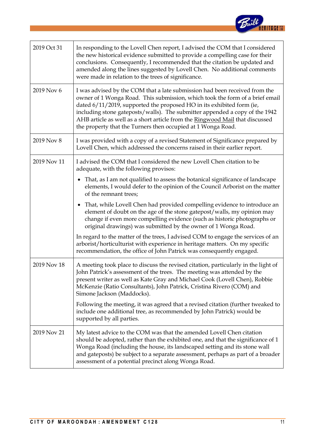

| 2019 Oct 31 | In responding to the Lovell Chen report, I advised the COM that I considered<br>the new historical evidence submitted to provide a compelling case for their<br>conclusions. Consequently, I recommended that the citation be updated and<br>amended along the lines suggested by Lovell Chen. No additional comments<br>were made in relation to the trees of significance.                                                                                       |
|-------------|--------------------------------------------------------------------------------------------------------------------------------------------------------------------------------------------------------------------------------------------------------------------------------------------------------------------------------------------------------------------------------------------------------------------------------------------------------------------|
| 2019 Nov 6  | I was advised by the COM that a late submission had been received from the<br>owner of 1 Wonga Road. This submission, which took the form of a brief email<br>dated 6/11/2019, supported the proposed HO in its exhibited form (ie,<br>including stone gateposts/walls). The submitter appended a copy of the 1942<br>AHB article as well as a short article from the Ringwood Mail that discussed<br>the property that the Turners then occupied at 1 Wonga Road. |
| 2019 Nov 8  | I was provided with a copy of a revised Statement of Significance prepared by<br>Lovell Chen, which addressed the concerns raised in their earlier report.                                                                                                                                                                                                                                                                                                         |
| 2019 Nov 11 | I advised the COM that I considered the new Lovell Chen citation to be<br>adequate, with the following provisos:                                                                                                                                                                                                                                                                                                                                                   |
|             | That, as I am not qualified to assess the botanical significance of landscape<br>$\bullet$<br>elements, I would defer to the opinion of the Council Arborist on the matter<br>of the remnant trees;                                                                                                                                                                                                                                                                |
|             | That, while Lovell Chen had provided compelling evidence to introduce an<br>$\bullet$<br>element of doubt on the age of the stone gatepost/walls, my opinion may<br>change if even more compelling evidence (such as historic photographs or<br>original drawings) was submitted by the owner of 1 Wonga Road.                                                                                                                                                     |
|             | In regard to the matter of the trees, I advised COM to engage the services of an<br>arborist/horticulturist with experience in heritage matters. On my specific<br>recommendation, the office of John Patrick was consequently engaged.                                                                                                                                                                                                                            |
| 2019 Nov 18 | A meeting took place to discuss the revised citation, particularly in the light of<br>John Patrick's assessment of the trees. The meeting was attended by the<br>present writer as well as Kate Gray and Michael Cook (Lovell Chen), Robbie<br>McKenzie (Ratio Consultants), John Patrick, Cristina Rivero (COM) and<br>Simone Jackson (Maddocks).                                                                                                                 |
|             | Following the meeting, it was agreed that a revised citation (further tweaked to<br>include one additional tree, as recommended by John Patrick) would be<br>supported by all parties.                                                                                                                                                                                                                                                                             |
| 2019 Nov 21 | My latest advice to the COM was that the amended Lovell Chen citation<br>should be adopted, rather than the exhibited one, and that the significance of 1<br>Wonga Road (including the house, its landscaped setting and its stone wall<br>and gateposts) be subject to a separate assessment, perhaps as part of a broader<br>assessment of a potential precinct along Wonga Road.                                                                                |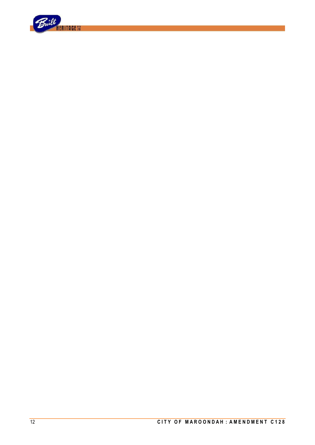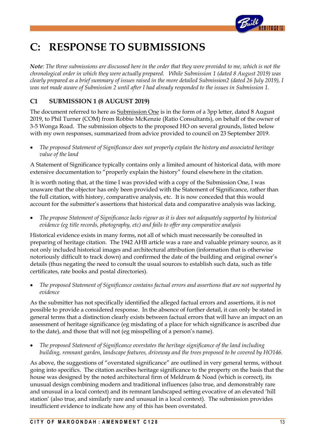

# **C: RESPONSE TO SUBMISSIONS**

*Note: The three submissions are discussed here in the order that they were provided to me, which is not the chronological order in which they were actually prepared. While Submission 1 (dated 8 August 2019) was clearly prepared as a brief summary of issues raised in the more detailed Submission2 (dated 26 July 2019), I was not made aware of Submission 2 until after I had already responded to the issues in Submission 1.* 

# **C1 SUBMISSION 1 (8 AUGUST 2019)**

The document referred to here as **Submission One** is in the form of a 3pp letter, dated 8 August 2019, to Phil Turner (COM) from Robbie McKenzie (Ratio Consultants), on behalf of the owner of 3-5 Wonga Road. The submission objects to the proposed HO on several grounds, listed below with my own responses, summarized from advice provided to council on 23 September 2019.

 *The proposed Statement of Significance does not properly explain the history and associated heritage value of the land*

A Statement of Significance typically contains only a limited amount of historical data, with more extensive documentation to "properly explain the history" found elsewhere in the citation.

It is worth noting that, at the time I was provided with a copy of the Submission One, I was unaware that the objector has only been provided with the Statement of Significance, rather than the full citation, with history, comparative analysis, etc. It is now conceded that this would account for the submitter's assertions that historical data and comparative analysis was lacking.

 *The propose Statement of Significance lacks rigour as it is does not adequately supported by historical evidence (eg title records, photography, etc) and fails to offer any comparative analysis*

Historical evidence exists in many forms, not all of which must necessarily be consulted in preparing of heritage citation. The 1942 AHB article was a rare and valuable primary source, as it not only included historical images and architectural attribution (information that is otherwise notoriously difficult to track down) and confirmed the date of the building and original owner's details (thus negating the need to consult the usual sources to establish such data, such as title certificates, rate books and postal directories).

 *The proposed Statement of Significance contains factual errors and assertions that are not supported by evidence*

As the submitter has not specifically identified the alleged factual errors and assertions, it is not possible to provide a considered response. In the absence of further detail, it can only be stated in general terms that a distinction clearly exists between factual errors that will have an impact on an assessment of heritage significance (eg misdating of a place for which significance is ascribed due to the date), and those that will not (eg misspelling of a person's name).

 *The proposed Statement of Significance overstates the heritage significance of the land including building, remnant garden, landscape features, driveway and the trees proposed to be covered by HO146.*

As above, the suggestions of "overstated significance" are outlined in very general terms, without going into specifics. The citation ascribes heritage significance to the property on the basis that the house was designed by the noted architectural firm of Meldrum & Noad (which is correct), its unusual design combining modern and traditional influences (also true, and demonstrably rare and unusual in a local context) and its remnant landscaped setting evocative of an elevated 'hill station' (also true, and similarly rare and unusual in a local context). The submission provides insufficient evidence to indicate how any of this has been overstated.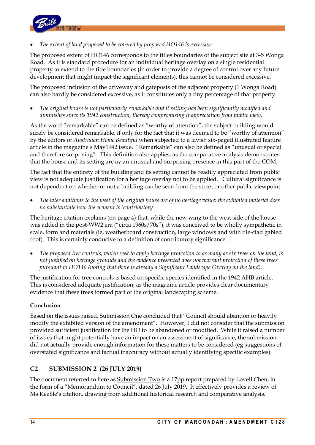

*The extent of land proposed to be covered by proposed HO146 is excessive*

The proposed extent of HO146 corresponds to the titles boundaries of the subject site at 3-5 Wonga Road. As it is standard procedure for an individual heritage overlay on a single residential property to extend to the title boundaries (in order to provide a degree of control over any future development that might impact the significant elements), this cannot be considered excessive.

The proposed inclusion of the driveway and gateposts of the adjacent property (1 Wonga Road) can also hardly be considered excessive, as it constitutes only a tiny percentage of that property.

 *The original house is not particularly remarkable and it setting has been significantly modified and diminishes since its 1942 construction, thereby compromising it appreciation from public view.*

As the word "remarkable" can be defined as "worthy of attention", the subject building would surely be considered remarkable, if only for the fact that it was deemed to be "worthy of attention" by the editors of *Australian Home Beautiful* when subjected to a lavish six-paged illustrated feature article in the magazine's May1942 issue. "Remarkable" can also be defined as "unusual or special and therefore surprising". This definition also applies, as the comparative analysis demonstrates that the house and its setting are ay an unusual and surprising presence in this part of the COM.

The fact that the entirety of the building and its setting cannot be readily appreciated from public view is not adequate justification for a heritage overlay not to be applied. Cultural significance is not dependent on whether or not a building can be seen from the street or other public viewpoint.

 *The later additions to the west of the original house are of no heritage value; the exhibited material does no substantiate how the element is 'contributory'.*

The heritage citation explains (on page 4) that, while the new wing to the west side of the house was added in the post-WW2 era ("circa 1960s/70s"), it was conceived to be wholly sympathetic in scale, form and materials (ie, weatherboard construction, large windows and with tile-clad gabled roof). This is certainly conducive to a definition of contributory significance.

 *The proposed tree controls, which seek to apply heritage protection to as many as six trees on the land, is not justified on heritage grounds and the evidence presented does not warrant protection of these trees pursuant to HO146 (noting that there is already a Significant Landscape Overlay on the land).*

The justification for tree controls is based on specific species identified in the 1942 AHB article. This is considered adequate justification, as the magazine article provides clear documentary evidence that these trees formed part of the original landscaping scheme.

### **Conclusion**

Based on the issues raised, Submission One concluded that "Council should abandon or heavily modify the exhibited version of the amendment". However, I did not consider that the submission provided sufficient justification for the HO to be abandoned or modified. While it raised a number of issues that might potentially have an impact on an assessment of significance, the submission did not actually provide enough information for these matters to be considered (eg suggestions of overstated significance and factual inaccuracy without actually identifying specific examples).

# **C2 SUBMISSION 2 (26 JULY 2019)**

The document referred to here as Submission Two is a 17pp report prepared by Lovell Chen, in the form of a "Memorandum to Council", dated 26 July 2019. It effectively provides a review of Ms Keeble's citation, drawing from additional historical research and comparative analysis.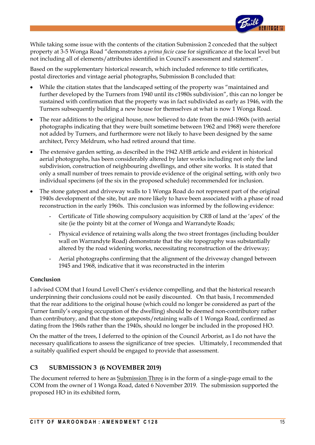

While taking some issue with the contents of the citation Submission 2 conceded that the subject property at 3-5 Wonga Road "demonstrates a *prima facie* case for significance at the local level but not including all of elements/attributes identified in Council's assessment and statement".

Based on the supplementary historical research, which included reference to title certificates, postal directories and vintage aerial photographs, Submission B concluded that:

- While the citation states that the landscaped setting of the property was "maintained and further developed by the Turners from 1940 until its c1980s subdivision", this can no longer be sustained with confirmation that the property was in fact subdivided as early as 1946, with the Turners subsequently building a new house for themselves at what is now 1 Wonga Road.
- The rear additions to the original house, now believed to date from the mid-1960s (with aerial photographs indicating that they were built sometime between 1962 and 1968) were therefore not added by Turners, and furthermore were not likely to have been designed by the same architect, Percy Meldrum, who had retired around that time.
- The extensive garden setting, as described in the 1942 AHB article and evident in historical aerial photographs, has been considerably altered by later works including not only the land subdivision, construction of neighbouring dwellings, and other site works. It is stated that only a small number of trees remain to provide evidence of the original setting, with only two individual specimens (of the six in the proposed schedule) recommended for inclusion.
- The stone gatepost and driveway walls to 1 Wonga Road do not represent part of the original 1940s development of the site, but are more likely to have been associated with a phase of road reconstruction in the early 1960s. This conclusion was informed by the following evidence:
	- Certificate of Title showing compulsory acquisition by CRB of land at the 'apex' of the site (ie the pointy bit at the corner of Wonga and Warrandyte Roads;
	- Physical evidence of retaining walls along the two street frontages (including boulder wall on Warrandyte Road) demonstrate that the site topography was substantially altered by the road widening works, necessitating reconstruction of the driveway;
	- Aerial photographs confirming that the alignment of the driveway changed between 1945 and 1968, indicative that it was reconstructed in the interim

### **Conclusion**

I advised COM that I found Lovell Chen's evidence compelling, and that the historical research underpinning their conclusions could not be easily discounted. On that basis, I recommended that the rear additions to the original house (which could no longer be considered as part of the Turner family's ongoing occupation of the dwelling) should be deemed non-contributory rather than contributory, and that the stone gateposts/retaining walls of 1 Wonga Road, confirmed as dating from the 1960s rather than the 1940s, should no longer be included in the proposed HO.

On the matter of the trees, I deferred to the opinion of the Council Arborist, as I do not have the necessary qualifications to assess the significance of tree species. Ultimately, I recommended that a suitably qualified expert should be engaged to provide that assessment.

### **C3 SUBMISSION 3 (6 NOVEMBER 2019)**

The document referred to here as **Submission** Three is in the form of a single-page email to the COM from the owner of 1 Wonga Road, dated 6 November 2019. The submission supported the proposed HO in its exhibited form,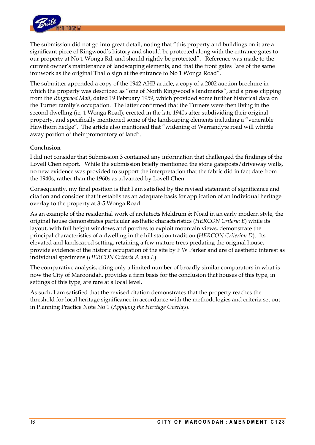

The submission did not go into great detail, noting that "this property and buildings on it are a significant piece of Ringwood's history and should be protected along with the entrance gates to our property at No 1 Wonga Rd, and should rightly be protected". Reference was made to the current owner's maintenance of landscaping elements, and that the front gates "are of the same ironwork as the original Thallo sign at the entrance to No 1 Wonga Road".

The submitter appended a copy of the 1942 AHB article, a copy of a 2002 auction brochure in which the property was described as "one of North Ringwood's landmarks", and a press clipping from the *Ringwood Mail*, dated 19 February 1959, which provided some further historical data on the Turner family's occupation. The latter confirmed that the Turners were then living in the second dwelling (ie, 1 Wonga Road), erected in the late 1940s after subdividing their original property, and specifically mentioned some of the landscaping elements including a "venerable Hawthorn hedge". The article also mentioned that "widening of Warrandyte road will whittle away portion of their promontory of land".

#### **Conclusion**

I did not consider that Submission 3 contained any information that challenged the findings of the Lovell Chen report. While the submission briefly mentioned the stone gateposts/driveway walls, no new evidence was provided to support the interpretation that the fabric did in fact date from the 1940s, rather than the 1960s as advanced by Lovell Chen.

Consequently, my final position is that I am satisfied by the revised statement of significance and citation and consider that it establishes an adequate basis for application of an individual heritage overlay to the property at 3-5 Wonga Road.

As an example of the residential work of architects Meldrum & Noad in an early modern style, the original house demonstrates particular aesthetic characteristics (*HERCON Criteria E*) while its layout, with full height windows and porches to exploit mountain views, demonstrate the principal characteristics of a dwelling in the hill station tradition (*HERCON Criterion D*). Its elevated and landscaped setting, retaining a few mature trees predating the original house, provide evidence of the historic occupation of the site by F W Parker and are of aesthetic interest as individual specimens (*HERCON Criteria A and E*).

The comparative analysis, citing only a limited number of broadly similar comparators in what is now the City of Maroondah, provides a firm basis for the conclusion that houses of this type, in settings of this type, are rare at a local level.

As such, I am satisfied that the revised citation demonstrates that the property reaches the threshold for local heritage significance in accordance with the methodologies and criteria set out in Planning Practice Note No 1 (*Applying the Heritage Overlay*).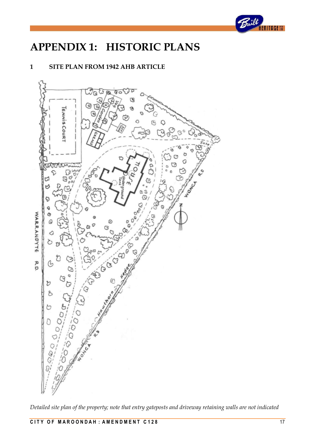

# **APPENDIX 1: HISTORIC PLANS**

# **1 SITE PLAN FROM 1942 AHB ARTICLE**



*Detailed site plan of the property; note that entry gateposts and driveway retaining walls are not indicated*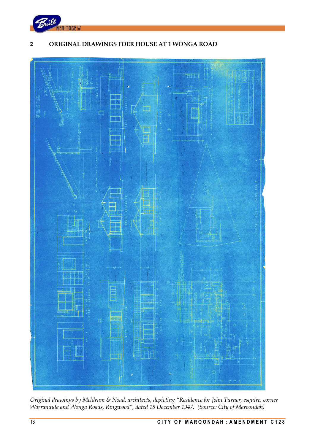

### **2 ORIGINAL DRAWINGS FOER HOUSE AT 1 WONGA ROAD**



*Original drawings by Meldrum & Noad, architects, depicting "Residence for John Turner, esquire, corner Warrandyte and Wonga Roads, Ringwood", dated 18 December 1947. (Source: City of Maroondah)*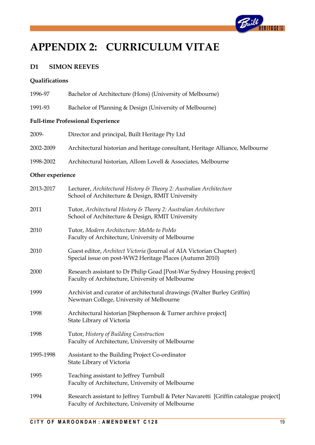

# **APPENDIX 2: CURRICULUM VITAE**

### **D1 SIMON REEVES**

### **Qualifications**

| 1996-97                                  | Bachelor of Architecture (Hons) (University of Melbourne)                                                                                |  |
|------------------------------------------|------------------------------------------------------------------------------------------------------------------------------------------|--|
| 1991-93                                  | Bachelor of Planning & Design (University of Melbourne)                                                                                  |  |
| <b>Full-time Professional Experience</b> |                                                                                                                                          |  |
| 2009-                                    | Director and principal, Built Heritage Pty Ltd                                                                                           |  |
| 2002-2009                                | Architectural historian and heritage consultant, Heritage Alliance, Melbourne                                                            |  |
| 1998-2002                                | Architectural historian, Allom Lovell & Associates, Melbourne                                                                            |  |
| Other experience                         |                                                                                                                                          |  |
| 2013-2017                                | Lecturer, Architectural History & Theory 2: Australian Architecture<br>School of Architecture & Design, RMIT University                  |  |
| 2011                                     | Tutor, Architectural History & Theory 2: Australian Architecture<br>School of Architecture & Design, RMIT University                     |  |
| 2010                                     | Tutor, Modern Architecture: MoMo to PoMo<br>Faculty of Architecture, University of Melbourne                                             |  |
| 2010                                     | Guest editor, Architect Victoria (Journal of AIA Victorian Chapter)<br>Special issue on post-WW2 Heritage Places (Autumn 2010)           |  |
| 2000                                     | Research assistant to Dr Philip Goad [Post-War Sydney Housing project]<br>Faculty of Architecture, University of Melbourne               |  |
| 1999                                     | Archivist and curator of architectural drawings (Walter Burley Griffin)<br>Newman College, University of Melbourne                       |  |
| 1998                                     | Architectural historian [Stephenson & Turner archive project]<br>State Library of Victoria                                               |  |
| 1998                                     | Tutor, History of Building Construction<br>Faculty of Architecture, University of Melbourne                                              |  |
| 1995-1998                                | Assistant to the Building Project Co-ordinator<br>State Library of Victoria                                                              |  |
| 1995                                     | Teaching assistant to Jeffrey Turnbull<br>Faculty of Architecture, University of Melbourne                                               |  |
| 1994                                     | Research assistant to Jeffrey Turnbull & Peter Navaretti [Griffin catalogue project]<br>Faculty of Architecture, University of Melbourne |  |